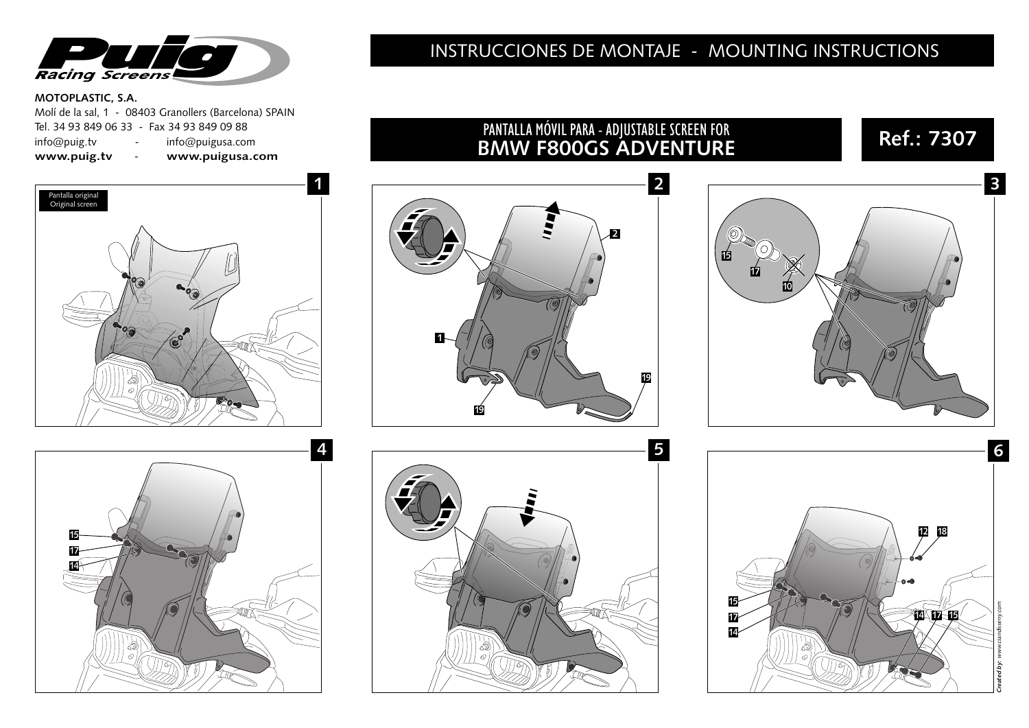

#### **MOTOPLASTIC, S.A.**

|              |                 | Molí de la sal. 1 - 08403 Granollers (Barcelona) SPAIN |
|--------------|-----------------|--------------------------------------------------------|
|              |                 | Tel. 34 93 849 06 33 - Fax 34 93 849 09 88             |
| info@puig.tv | $\sim$ 10 $\pm$ | info@puigusa.com                                       |
| www.puig.tv  | $\overline{a}$  | www.puigusa.com                                        |

## **1** Pantalla original Original screen  $\sqrt{e^2}$  $\mathbb{R}_{0}$



#### INSTRUCCIONES DE MONTAJE - MOUNTING INSTRUCTIONS

PANTALLA MÓVIL PARA - ADJUSTABLE SCREEN FOR

# **2 2 1 19 19**



# **3 BMW F800GS ADVENTURE 15 17 10**

**Ref.: 7307**